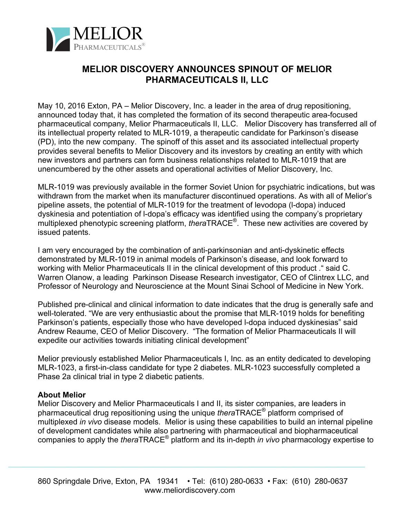

## **MELIOR DISCOVERY ANNOUNCES SPINOUT OF MELIOR PHARMACEUTICALS II, LLC**

May 10, 2016 Exton, PA – Melior Discovery, Inc. a leader in the area of drug repositioning, announced today that, it has completed the formation of its second therapeutic area-focused pharmaceutical company, Melior Pharmaceuticals II, LLC. Melior Discovery has transferred all of its intellectual property related to MLR-1019, a therapeutic candidate for Parkinson's disease (PD), into the new company. The spinoff of this asset and its associated intellectual property provides several benefits to Melior Discovery and its investors by creating an entity with which new investors and partners can form business relationships related to MLR-1019 that are unencumbered by the other assets and operational activities of Melior Discovery, Inc.

MLR-1019 was previously available in the former Soviet Union for psychiatric indications, but was withdrawn from the market when its manufacturer discontinued operations. As with all of Melior's pipeline assets, the potential of MLR-1019 for the treatment of levodopa (l-dopa) induced dyskinesia and potentiation of l-dopa's efficacy was identified using the company's proprietary multiplexed phenotypic screening platform, *thera*TRACE®. These new activities are covered by issued patents.

I am very encouraged by the combination of anti-parkinsonian and anti-dyskinetic effects demonstrated by MLR-1019 in animal models of Parkinson's disease, and look forward to working with Melior Pharmaceuticals II in the clinical development of this product ." said C. Warren Olanow, a leading Parkinson Disease Research investigator, CEO of Clintrex LLC, and Professor of Neurology and Neuroscience at the Mount Sinai School of Medicine in New York.

Published pre-clinical and clinical information to date indicates that the drug is generally safe and well-tolerated. "We are very enthusiastic about the promise that MLR-1019 holds for benefiting Parkinson's patients, especially those who have developed l-dopa induced dyskinesias" said Andrew Reaume, CEO of Melior Discovery. "The formation of Melior Pharmaceuticals II will expedite our activities towards initiating clinical development"

Melior previously established Melior Pharmaceuticals I, Inc. as an entity dedicated to developing MLR-1023, a first-in-class candidate for type 2 diabetes. MLR-1023 successfully completed a Phase 2a clinical trial in type 2 diabetic patients.

## **About Melior**

Melior Discovery and Melior Pharmaceuticals I and II, its sister companies, are leaders in pharmaceutical drug repositioning using the unique *thera*TRACE® platform comprised of multiplexed *in vivo* disease models. Melior is using these capabilities to build an internal pipeline of development candidates while also partnering with pharmaceutical and biopharmaceutical companies to apply the *thera*TRACE® platform and its in-depth *in vivo* pharmacology expertise to